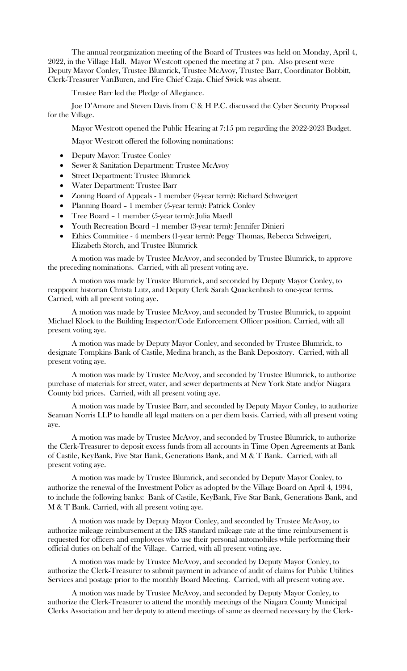The annual reorganization meeting of the Board of Trustees was held on Monday, April 4, 2022, in the Village Hall. Mayor Westcott opened the meeting at 7 pm. Also present were Deputy Mayor Conley, Trustee Blumrick, Trustee McAvoy, Trustee Barr, Coordinator Bobbitt, Clerk-Treasurer VanBuren, and Fire Chief Czaja. Chief Swick was absent.

Trustee Barr led the Pledge of Allegiance.

Joe D'Amore and Steven Davis from C & H P.C. discussed the Cyber Security Proposal for the Village.

Mayor Westcott opened the Public Hearing at 7:15 pm regarding the 2022-2023 Budget.

Mayor Westcott offered the following nominations:

- Deputy Mayor: Trustee Conley
- Sewer & Sanitation Department: Trustee McAvoy
- Street Department: Trustee Blumrick
- Water Department: Trustee Barr
- Zoning Board of Appeals 1 member (3-year term): Richard Schweigert
- Planning Board 1 member (5-year term): Patrick Conley
- Tree Board 1 member (5-year term): Julia Maedl
- Youth Recreation Board –1 member (3-year term): Jennifer Dinieri
- Ethics Committee 4 members (1-year term): Peggy Thomas, Rebecca Schweigert, Elizabeth Storch, and Trustee Blumrick

A motion was made by Trustee McAvoy, and seconded by Trustee Blumrick, to approve the preceding nominations. Carried, with all present voting aye.

A motion was made by Trustee Blumrick, and seconded by Deputy Mayor Conley, to reappoint historian Christa Lutz, and Deputy Clerk Sarah Quackenbush to one-year terms. Carried, with all present voting aye.

A motion was made by Trustee McAvoy, and seconded by Trustee Blumrick, to appoint Michael Klock to the Building Inspector/Code Enforcement Officer position. Carried, with all present voting aye.

A motion was made by Deputy Mayor Conley, and seconded by Trustee Blumrick, to designate Tompkins Bank of Castile, Medina branch, as the Bank Depository. Carried, with all present voting aye.

A motion was made by Trustee McAvoy, and seconded by Trustee Blumrick, to authorize purchase of materials for street, water, and sewer departments at New York State and/or Niagara County bid prices. Carried, with all present voting aye.

A motion was made by Trustee Barr, and seconded by Deputy Mayor Conley, to authorize Seaman Norris LLP to handle all legal matters on a per diem basis. Carried, with all present voting aye.

A motion was made by Trustee McAvoy, and seconded by Trustee Blumrick, to authorize the Clerk-Treasurer to deposit excess funds from all accounts in Time Open Agreements at Bank of Castile, KeyBank, Five Star Bank, Generations Bank, and M & T Bank. Carried, with all present voting aye.

A motion was made by Trustee Blumrick, and seconded by Deputy Mayor Conley, to authorize the renewal of the Investment Policy as adopted by the Village Board on April 4, 1994, to include the following banks: Bank of Castile, KeyBank, Five Star Bank, Generations Bank, and M & T Bank. Carried, with all present voting aye.

A motion was made by Deputy Mayor Conley, and seconded by Trustee McAvoy, to authorize mileage reimbursement at the IRS standard mileage rate at the time reimbursement is requested for officers and employees who use their personal automobiles while performing their official duties on behalf of the Village. Carried, with all present voting aye.

A motion was made by Trustee McAvoy, and seconded by Deputy Mayor Conley, to authorize the Clerk-Treasurer to submit payment in advance of audit of claims for Public Utilities Services and postage prior to the monthly Board Meeting. Carried, with all present voting aye.

A motion was made by Trustee McAvoy, and seconded by Deputy Mayor Conley, to authorize the Clerk-Treasurer to attend the monthly meetings of the Niagara County Municipal Clerks Association and her deputy to attend meetings of same as deemed necessary by the Clerk